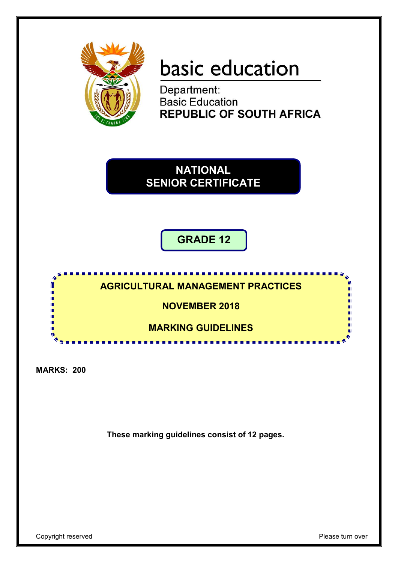

# basic education

Department: **Basic Education REPUBLIC OF SOUTH AFRICA** 

**NATIONAL SENIOR CERTIFICATE**

## **GRADE 12**



**MARKS: 200**

**These marking guidelines consist of 12 pages.**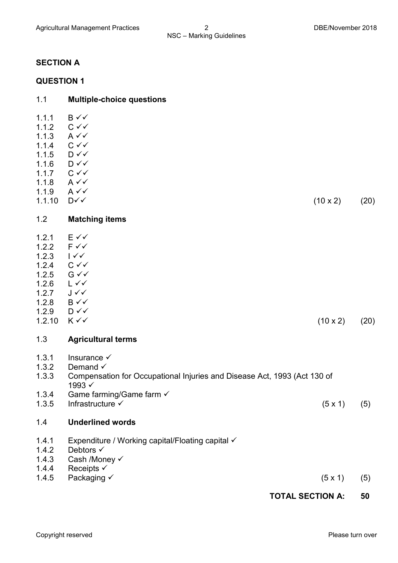#### **SECTION A**

#### **QUESTION 1**

### 1.1 **Multiple-choice questions** 1.1.1  $B \checkmark$ 1.1.2  $C \vee C$ <br>1.1.3  $A \vee C$  $A \vee C$ 1.1.4  $C \checkmark$ 1.1.5  $D \checkmark$ 1.1.6  $D \checkmark$ 1.1.7  $C \vee C$ 1.1.8  $A \vee C$ 1.1.9  $A \vee C$  $1.1.10$  D  $\checkmark$  (20) (20) 1.2 **Matching items** 1.2.1  $E \vee \vee$ <br>122  $F \vee \vee$  $1.2.2$ 1.2.3  $1 \checkmark \checkmark$ 1.2.4  $C \vee C$ <br>1.2.5  $G \vee C$  $G \vee G$  $126$   $\sqrt{}$ 1.2.7  $J \checkmark$ 1.2.8  $B\sqrt{2}$ 1.2.9  $D \checkmark$ <br>1.2.10  $K \checkmark$  $1.2.10 \quad K \checkmark$  (20) 1.3 **Agricultural terms** 1.3.1 Insurance  $\checkmark$ 1.3.2 Demand  $\checkmark$ 1.3.3 Compensation for Occupational Injuries and Disease Act, 1993 (Act 130 of 1993 $\checkmark$ 1.3.4 Game farming/Game farm 1.3.5 Infrastructure  $\checkmark$  (5 x 1) (5) 1.4 **Underlined words** 1.4.1 Expenditure / Working capital/Floating capital  $\checkmark$ <br>1.4.2 Debtors  $\checkmark$ Debtors  $\checkmark$ 1.4.3 Cash /Money 1.4.4 Receipts 1.4.5 Packaging  $\checkmark$  (5 x 1) (5)

#### **TOTAL SECTION A: 50**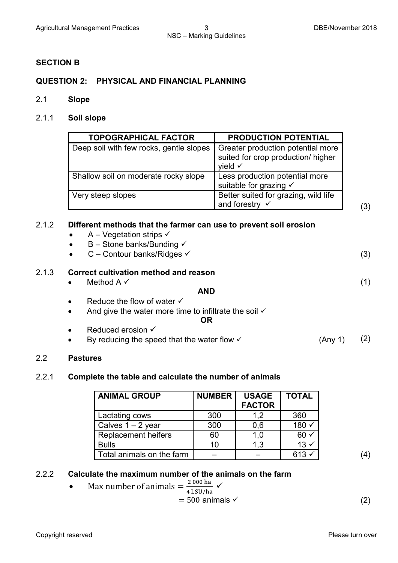#### **SECTION B**

#### **QUESTION 2: PHYSICAL AND FINANCIAL PLANNING**

- 2.1 **Slope**
- 2.1.1 **Soil slope**

| <b>TOPOGRAPHICAL FACTOR</b>             | <b>PRODUCTION POTENTIAL</b>                                                                   |
|-----------------------------------------|-----------------------------------------------------------------------------------------------|
| Deep soil with few rocks, gentle slopes | Greater production potential more<br>suited for crop production/ higher<br>yield $\checkmark$ |
| Shallow soil on moderate rocky slope    | Less production potential more<br>suitable for grazing √                                      |
| Very steep slopes                       | Better suited for grazing, wild life<br>and forestry $\checkmark$                             |

#### 2.1.2 **Different methods that the farmer can use to prevent soil erosion**

- $A Veqetation strips \checkmark$
- $\bullet$  B Stone banks/Bunding  $\checkmark$
- $C$  Contour banks/Ridges  $\checkmark$  (3)

#### 2.1.3 **Correct cultivation method and reason**

• Method  $A \vee$ 

#### **AND**

- Reduce the flow of water  $\checkmark$
- And give the water more time to infiltrate the soil  $\checkmark$

#### **OR**

- Reduced erosion  $\checkmark$
- By reducing the speed that the water flow  $\checkmark$  (Any 1) (2)

#### 2.2 **Pastures**

#### 2.2.1 **Complete the table and calculate the number of animals**

| <b>ANIMAL GROUP</b>        | <b>NUMBER</b> | <b>USAGE</b><br><b>FACTOR</b> | <b>TOTAL</b>    |
|----------------------------|---------------|-------------------------------|-----------------|
| Lactating cows             | 300           | 1.2                           | 360             |
| Calves $1 - 2$ year        | 300           | 0,6                           | $180 \times$    |
| <b>Replacement heifers</b> | 60            | 1.0                           | $60 \times$     |
| <b>Bulls</b>               | 10            | 1.3                           | $13 \checkmark$ |
| Total animals on the farm  |               |                               | $613 \times$    |

(1)

#### 2.2.2 **Calculate the maximum number of the animals on the farm**

• Max number of animals 
$$
=
$$
  $\frac{2000 \text{ ha}}{4 \text{ LSU/ha}}$   $\checkmark$ 

$$
= 500 \text{ animals} \checkmark \tag{2}
$$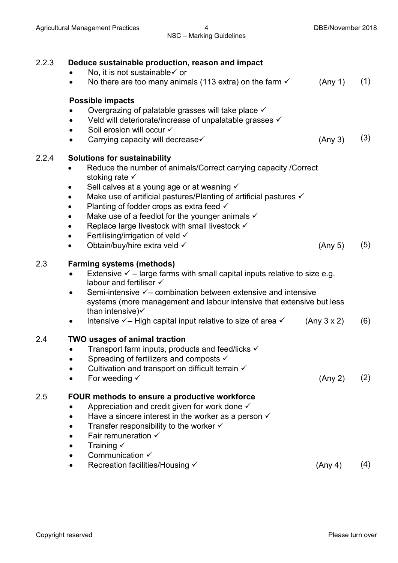| 2.2.3 | Deduce sustainable production, reason and impact<br>No, it is not sustainable√ or<br>No there are too many animals (113 extra) on the farm $\checkmark$<br>$\bullet$                                                                                                                                                                                                                                                                                                                                                                     | (Any 1)     | (1) |
|-------|------------------------------------------------------------------------------------------------------------------------------------------------------------------------------------------------------------------------------------------------------------------------------------------------------------------------------------------------------------------------------------------------------------------------------------------------------------------------------------------------------------------------------------------|-------------|-----|
|       | Possible impacts<br>Overgrazing of palatable grasses will take place $\checkmark$<br>Veld will deteriorate/increase of unpalatable grasses √<br>Soil erosion will occur √<br>$\bullet$<br>Carrying capacity will decrease√<br>$\bullet$                                                                                                                                                                                                                                                                                                  | (Any 3)     | (3) |
| 2.2.4 | <b>Solutions for sustainability</b><br>Reduce the number of animals/Correct carrying capacity /Correct<br>stoking rate $\checkmark$<br>Sell calves at a young age or at weaning √<br>Make use of artificial pastures/Planting of artificial pastures √<br>Planting of fodder crops as extra feed √<br>Make use of a feedlot for the younger animals $\checkmark$<br>Replace large livestock with small livestock $\checkmark$<br>$\bullet$<br>Fertilising/irrigation of veld √<br>$\bullet$<br>Obtain/buy/hire extra veld √<br>$\bullet$ | (Any 5)     | (5) |
| 2.3   | <b>Farming systems (methods)</b><br>Extensive $\checkmark$ – large farms with small capital inputs relative to size e.g.<br>$\bullet$<br>labour and fertiliser $\checkmark$<br>Semi-intensive $\checkmark$ – combination between extensive and intensive<br>systems (more management and labour intensive that extensive but less<br>than intensive) $\checkmark$<br>Intensive $\checkmark$ – High capital input relative to size of area $\checkmark$                                                                                   | (Any 3 x 2) | (6) |
| 2.4   | <b>TWO usages of animal traction</b><br>Transport farm inputs, products and feed/licks $\checkmark$<br>Spreading of fertilizers and composts √<br>Cultivation and transport on difficult terrain $\checkmark$<br>For weeding $\checkmark$                                                                                                                                                                                                                                                                                                | (Any 2)     | (2) |
| 2.5   | FOUR methods to ensure a productive workforce<br>Appreciation and credit given for work done $\checkmark$<br>Have a sincere interest in the worker as a person $\checkmark$<br>Transfer responsibility to the worker $\checkmark$<br>Fair remuneration $\checkmark$<br>Training $\checkmark$<br>Communication $\checkmark$<br>Recreation facilities/Housing √                                                                                                                                                                            | (Any 4)     | (4) |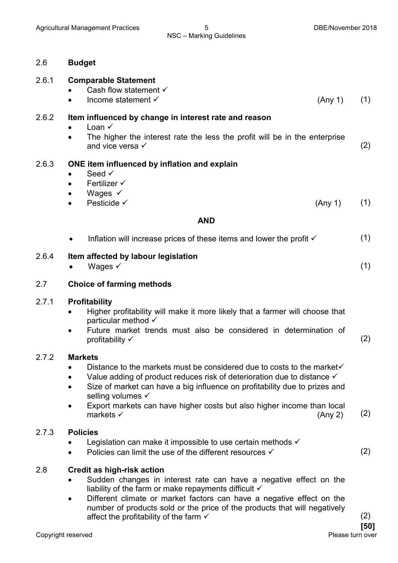#### 2.6 **Budget**

#### 2.6.1 **Comparable Statement**

- Cash flow statement  $\checkmark$
- Income statement  $\checkmark$  (Any 1) (1)

#### 2.6.2 **Item influenced by change in interest rate and reason**

- Loan  $\checkmark$
- The higher the interest rate the less the profit will be in the enterprise and vice versa  $\checkmark$  (2)

#### 2.6.3 **ONE item influenced by inflation and explain**

- $\bullet$  Seed  $\checkmark$
- $\bullet$  Fertilizer  $\checkmark$
- Wages  $\checkmark$
- Pesticide  $\checkmark$  (Any 1) (1)

#### **AND**

| Inflation will increase prices of these items and lower the profit √ | (1) |
|----------------------------------------------------------------------|-----|
|                                                                      |     |

#### 2.6.4 **Item affected by labour legislation**

• Wages  $\checkmark$  (1)

#### 2.7 **Choice of farming methods**

#### 2.7.1 **Profitability**

- Higher profitability will make it more likely that a farmer will choose that particular method
- Future market trends must also be considered in determination of profitability  $\checkmark$  (2)

#### 2.7.2 **Markets**

- Distance to the markets must be considered due to costs to the market $\checkmark$
- Value adding of product reduces risk of deterioration due to distance  $\checkmark$
- Size of market can have a big influence on profitability due to prizes and selling volumes  $\checkmark$
- Export markets can have higher costs but also higher income than local markets  $\checkmark$  (Any 2) (2)

#### 2.7.3 **Policies**

- Legislation can make it impossible to use certain methods  $\checkmark$
- Policies can limit the use of the different resources  $\checkmark$  (2)

#### 2.8 **Credit as high-risk action**

- Sudden changes in interest rate can have a negative effect on the liability of the farm or make repayments difficult  $\checkmark$
- Different climate or market factors can have a negative effect on the number of products sold or the price of the products that will negatively affect the profitability of the farm  $\checkmark$  (2)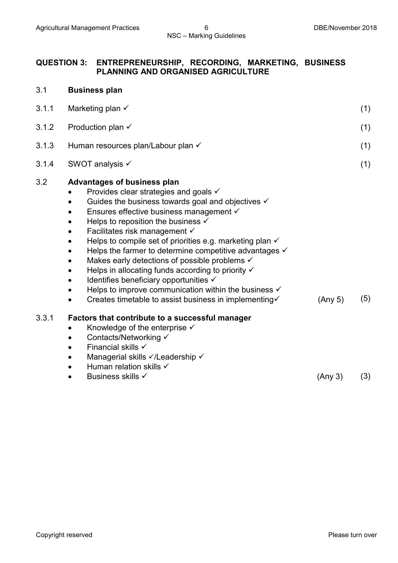#### **QUESTION 3: ENTREPRENEURSHIP, RECORDING, MARKETING, BUSINESS PLANNING AND ORGANISED AGRICULTURE**

| 3.1   | <b>Business plan</b>                                                                                                                                                                                                                                                                                                                                                                                                                                                                                                                                                                                                                                                                                                                    |         |     |
|-------|-----------------------------------------------------------------------------------------------------------------------------------------------------------------------------------------------------------------------------------------------------------------------------------------------------------------------------------------------------------------------------------------------------------------------------------------------------------------------------------------------------------------------------------------------------------------------------------------------------------------------------------------------------------------------------------------------------------------------------------------|---------|-----|
| 3.1.1 | Marketing plan $\checkmark$                                                                                                                                                                                                                                                                                                                                                                                                                                                                                                                                                                                                                                                                                                             |         | (1) |
| 3.1.2 | Production plan √                                                                                                                                                                                                                                                                                                                                                                                                                                                                                                                                                                                                                                                                                                                       |         | (1) |
| 3.1.3 | Human resources plan/Labour plan √                                                                                                                                                                                                                                                                                                                                                                                                                                                                                                                                                                                                                                                                                                      |         | (1) |
| 3.1.4 | SWOT analysis √                                                                                                                                                                                                                                                                                                                                                                                                                                                                                                                                                                                                                                                                                                                         |         | (1) |
| 3.2   | Advantages of business plan<br>Provides clear strategies and goals $\checkmark$<br>Guides the business towards goal and objectives $\checkmark$<br>Ensures effective business management √<br>Helps to reposition the business $\checkmark$<br>Facilitates risk management $\checkmark$<br>Helps to compile set of priorities e.g. marketing plan $\checkmark$<br>Helps the farmer to determine competitive advantages $\checkmark$<br>Makes early detections of possible problems √<br>Helps in allocating funds according to priority $\checkmark$<br>Identifies beneficiary opportunities √<br>Helps to improve communication within the business $\checkmark$<br>Creates timetable to assist business in implementing√<br>$\bullet$ | (Any 5) | (5) |
| 3.3.1 | Factors that contribute to a successful manager<br>Knowledge of the enterprise $\checkmark$<br>Contacts/Networking √<br>Financial skills $\checkmark$<br>$\bullet$<br>Managerial skills √/Leadership √<br>Human relation skills √                                                                                                                                                                                                                                                                                                                                                                                                                                                                                                       |         |     |
|       | Business skills √                                                                                                                                                                                                                                                                                                                                                                                                                                                                                                                                                                                                                                                                                                                       | (Any 3) | (3) |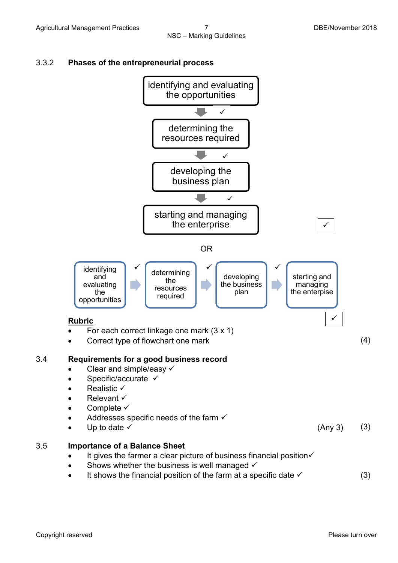



It shows the financial position of the farm at a specific date  $\checkmark$  (3)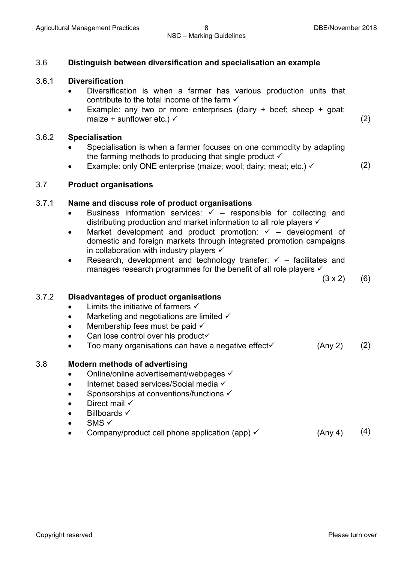#### 3.6 **Distinguish between diversification and specialisation an example**

#### 3.6.1 **Diversification**

- Diversification is when a farmer has various production units that contribute to the total income of the farm  $\checkmark$
- Example: any two or more enterprises (dairy  $+$  beef; sheep  $+$  goat; maize + sunflower etc.)  $\checkmark$  (2)

#### 3.6.2 **Specialisation**

- Specialisation is when a farmer focuses on one commodity by adapting the farming methods to producing that single product  $\checkmark$
- Example: only ONE enterprise (maize; wool; dairy; meat; etc.)  $\checkmark$  (2)

#### 3.7 **Product organisations**

#### 3.7.1 **Name and discuss role of product organisations**

- Business information services:  $\checkmark$  responsible for collecting and distributing production and market information to all role players ✓
- Market development and product promotion:  $\checkmark$  development of domestic and foreign markets through integrated promotion campaigns in collaboration with industry players  $\checkmark$
- Research, development and technology transfer:  $\checkmark$  facilitates and manages research programmes for the benefit of all role players  $\checkmark$

 $(3 \times 2)$  (6)

#### 3.7.2 **Disadvantages of product organisations**

- Limits the initiative of farmers  $\checkmark$
- Marketing and negotiations are limited  $\checkmark$
- Membership fees must be paid  $\checkmark$
- $\bullet$  Can lose control over his product $\checkmark$
- Too many organisations can have a negative effect  $\checkmark$  (Any 2) (2)

#### 3.8 **Modern methods of advertising**

- Online/online advertisement/webpages  $\checkmark$
- $\bullet$  Internet based services/Social media  $\checkmark$
- Sponsorships at conventions/functions  $\checkmark$
- Direct mail  $\checkmark$
- $\bullet$  Billboards  $\checkmark$
- $\bullet$  SMS  $\checkmark$
- Company/product cell phone application (app)  $\checkmark$  (Any 4) (4)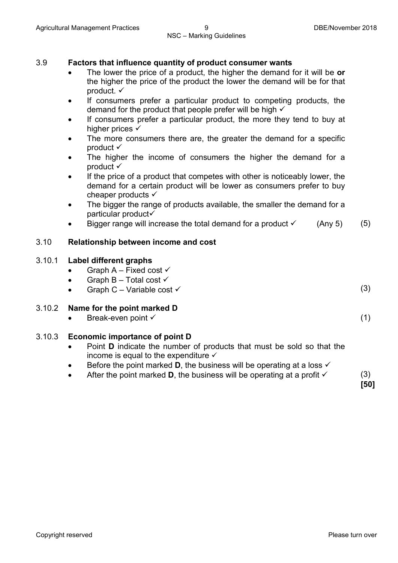#### 3.9 **Factors that influence quantity of product consumer wants**

- The lower the price of a product, the higher the demand for it will be **or** the higher the price of the product the lower the demand will be for that product. ✓
- If consumers prefer a particular product to competing products, the demand for the product that people prefer will be high  $\checkmark$
- If consumers prefer a particular product, the more they tend to buy at higher prices  $\checkmark$
- The more consumers there are, the greater the demand for a specific product  $\checkmark$
- The higher the income of consumers the higher the demand for a product  $\checkmark$
- If the price of a product that competes with other is noticeably lower, the demand for a certain product will be lower as consumers prefer to buy cheaper products  $\checkmark$
- The bigger the range of products available, the smaller the demand for a particular product
- Bigger range will increase the total demand for a product  $\checkmark$  (Any 5) (5)

#### 3.10 **Relationship between income and cost**

#### 3.10.1 **Label different graphs**

- Graph A Fixed cost  $\checkmark$
- Graph B Total cost  $\checkmark$
- Graph C Variable cost  $\checkmark$  (3)

#### 3.10.2 **Name for the point marked D**

Break-even point  $\checkmark$  (1)

#### 3.10.3 **Economic importance of point D**

- Point **D** indicate the number of products that must be sold so that the income is equal to the expenditure  $\checkmark$
- Before the point marked **D**, the business will be operating at a loss  $\checkmark$
- After the point marked **D**, the business will be operating at a profit  $\checkmark$  (3)

**[50]**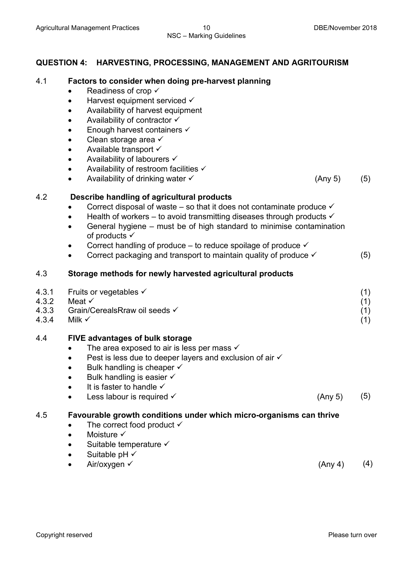#### **QUESTION 4: HARVESTING, PROCESSING, MANAGEMENT AND AGRITOURISM**

#### 4.1 **Factors to consider when doing pre-harvest planning**

- Readiness of crop  $\checkmark$
- $\bullet$  Harvest equipment serviced  $\checkmark$
- Availability of harvest equipment
- Availability of contractor  $\checkmark$
- $\bullet$  Enough harvest containers  $\checkmark$
- Clean storage area  $\checkmark$
- Available transport  $\checkmark$
- Availability of labourers  $\checkmark$
- Availability of restroom facilities  $\checkmark$
- Availability of drinking water  $\checkmark$  (Any 5) (5)

#### 4.2 **Describe handling of agricultural products**

- Correct disposal of waste so that it does not contaminate produce  $\checkmark$
- Health of workers to avoid transmitting diseases through products  $\checkmark$
- General hygiene must be of high standard to minimise contamination of products  $\checkmark$
- Correct handling of produce to reduce spoilage of produce  $\checkmark$
- Correct packaging and transport to maintain quality of produce  $\checkmark$  (5)

#### 4.3 **Storage methods for newly harvested agricultural products**

| 4.3.1 | Fruits or vegetables √        |  |
|-------|-------------------------------|--|
| 4.3.2 | Meat √                        |  |
| 4.3.3 | Grain/CerealsRraw oil seeds √ |  |
| 4.3.4 | Milk $\checkmark$             |  |

#### 4.4 **FIVE advantages of bulk storage**

- The area exposed to air is less per mass  $\checkmark$
- Pest is less due to deeper layers and exclusion of air  $\checkmark$
- Bulk handling is cheaper  $\checkmark$
- $\bullet$  Bulk handling is easier  $\checkmark$
- $\bullet$  It is faster to handle  $\checkmark$
- Less labour is required  $\checkmark$  (Any 5) (5)

#### 4.5 **Favourable growth conditions under which micro-organisms can thrive**

- The correct food product  $\checkmark$
- Moisture  $\checkmark$
- $\bullet$  Suitable temperature  $\checkmark$
- Suitable  $pH \checkmark$ 
	- $Air/oxy$ gen  $\checkmark$  (Any 4) (4)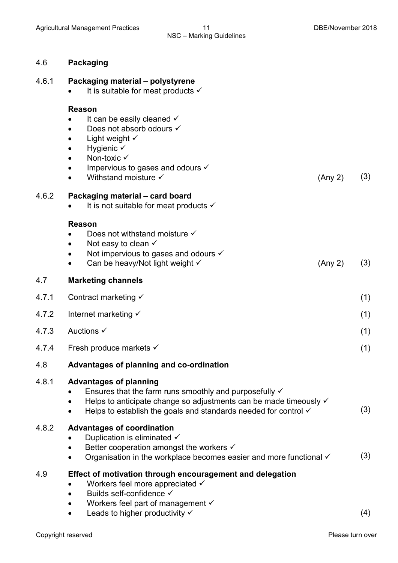#### 4.6 **Packaging**

| 4.6.1 |  |  | Packaging material - polystyrene |
|-------|--|--|----------------------------------|
|-------|--|--|----------------------------------|

• It is suitable for meat products  $\checkmark$ 

#### **Reason**

- $\bullet$  It can be easily cleaned  $\checkmark$
- Does not absorb odours  $\checkmark$
- Light weight  $\checkmark$
- $\bullet$  Hygienic  $\checkmark$
- Non-toxic  $\checkmark$
- $\bullet$  Impervious to gases and odours  $\checkmark$
- Withstand moisture  $\checkmark$  (Any 2) (3)

#### 4.6.2 **Packaging material – card board**

 $\bullet$  It is not suitable for meat products  $\checkmark$ 

#### **Reason**

- Does not withstand moisture  $\checkmark$
- Not easy to clean  $\checkmark$
- Not impervious to gases and odours  $\checkmark$
- Can be heavy/Not light weight  $\checkmark$  (Any 2) (3)

#### 4.7 **Marketing channels**

- 4.7.1 Contract marketing <del>V</del> (1)
- 4.7.2 Internet marketing  $\checkmark$  (1)

#### $4.7.3$  Auctions  $\checkmark$  (1)

4.7.4 Fresh produce markets  $\checkmark$  (1)

#### 4.8 **Advantages of planning and co-ordination**

#### 4.8.1 **Advantages of planning**

- **•** Ensures that the farm runs smoothly and purposefully  $\checkmark$  $\bullet$  Helps to anticipate change so adjustments can be made timeously  $\checkmark$
- Helps to establish the goals and standards needed for control  $\checkmark$  (3)

#### 4.8.2 **Advantages of coordination**

- Duplication is eliminated  $\checkmark$
- Better cooperation amongst the workers  $\checkmark$
- Organisation in the workplace becomes easier and more functional  $\checkmark$  (3)

#### 4.9 **Effect of motivation through encouragement and delegation**

- Workers feel more appreciated  $\checkmark$
- $\bullet$  Builds self-confidence  $\checkmark$
- Workers feel part of management  $\checkmark$
- Leads to higher productivity  $\checkmark$  (4)